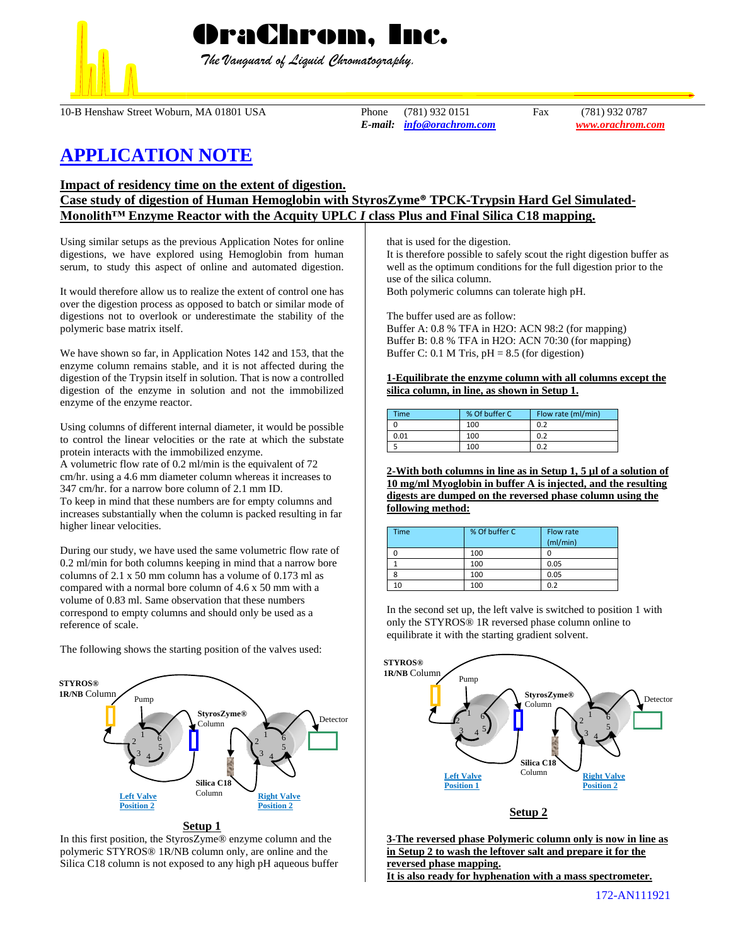

 *The Vanguard of Liquid Chromatography.*

10-B Henshaw Street Woburn, MA 01801 USA Phone (781) 932 0151 Fax (781) 932 0787

*E-mail: [info@orachrom.com](mailto:info@orachrom.com) www.orachrom.com*

# **APPLICATION NOTE**

**Impact of residency time on the extent of digestion.** 

## **Case study of digestion of Human Hemoglobin with StyrosZyme® TPCK-Trypsin Hard Gel Simulated-Monolith™ Enzyme Reactor with the Acquity UPLC** *I* **class Plus and Final Silica C18 mapping.**

Using similar setups as the previous Application Notes for online digestions, we have explored using Hemoglobin from human serum, to study this aspect of online and automated digestion.

It would therefore allow us to realize the extent of control one has over the digestion process as opposed to batch or similar mode of digestions not to overlook or underestimate the stability of the polymeric base matrix itself.

We have shown so far, in Application Notes 142 and 153, that the enzyme column remains stable, and it is not affected during the digestion of the Trypsin itself in solution. That is now a controlled digestion of the enzyme in solution and not the immobilized enzyme of the enzyme reactor.

Using columns of different internal diameter, it would be possible to control the linear velocities or the rate at which the substate protein interacts with the immobilized enzyme.

A volumetric flow rate of 0.2 ml/min is the equivalent of 72 cm/hr. using a 4.6 mm diameter column whereas it increases to 347 cm/hr. for a narrow bore column of 2.1 mm ID.

To keep in mind that these numbers are for empty columns and increases substantially when the column is packed resulting in far higher linear velocities.

During our study, we have used the same volumetric flow rate of 0.2 ml/min for both columns keeping in mind that a narrow bore columns of 2.1 x 50 mm column has a volume of 0.173 ml as compared with a normal bore column of 4.6 x 50 mm with a volume of 0.83 ml. Same observation that these numbers correspond to empty columns and should only be used as a reference of scale.

The following shows the starting position of the valves used:



In this first position, the StyrosZyme® enzyme column and the polymeric STYROS® 1R/NB column only, are online and the Silica C18 column is not exposed to any high pH aqueous buffer that is used for the digestion.

It is therefore possible to safely scout the right digestion buffer as well as the optimum conditions for the full digestion prior to the use of the silica column.

Both polymeric columns can tolerate high pH.

The buffer used are as follow:

Buffer A: 0.8 % TFA in H2O: ACN 98:2 (for mapping) Buffer B: 0.8 % TFA in H2O: ACN 70:30 (for mapping) Buffer C: 0.1 M Tris,  $pH = 8.5$  (for digestion)

**1-Equilibrate the enzyme column with all columns except the silica column, in line, as shown in Setup 1.**

| Time | % Of buffer C | Flow rate (ml/min) |
|------|---------------|--------------------|
|      | 100           | 0.2                |
| 0.01 | 100           | 0.2                |
|      | 100           | 0.2                |

**2-With both columns in line as in Setup 1, 5 µl of a solution of 10 mg/ml Myoglobin in buffer A is injected, and the resulting digests are dumped on the reversed phase column using the following method:**

| Time | % Of buffer C | Flow rate<br>(mI/min) |
|------|---------------|-----------------------|
|      | 100           |                       |
|      | 100           | 0.05                  |
|      | 100           | 0.05                  |
| 10   | 100           | 0.2                   |

In the second set up, the left valve is switched to position 1 with only the STYROS® 1R reversed phase column online to equilibrate it with the starting gradient solvent.



**Setup 2**

**3-The reversed phase Polymeric column only is now in line as in Setup 2 to wash the leftover salt and prepare it for the reversed phase mapping. It is also ready for hyphenation with a mass spectrometer.**